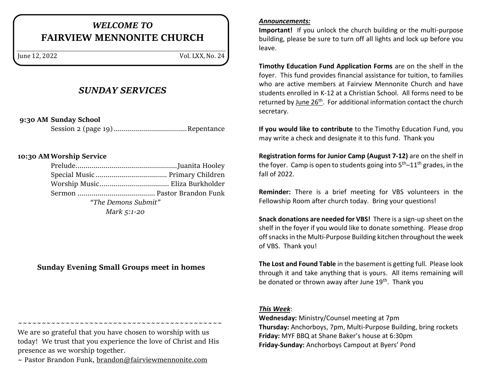# *WELCOME TO* **FAIRVIEW MENNONITE CHURCH**

June 12, 2022 Vol. LXX, No. 24

## *SUNDAY SERVICES*

**9:30 AM Sunday School**

Session 2 (page 19).....................................Repentance

#### **10:30 AMWorship Service**

| "The Demons Submit" |  |
|---------------------|--|
| Mark 5:1-20         |  |

### **Sunday Evening Small Groups meet in homes**

We are so grateful that you have chosen to worship with us today! We trust that you experience the love of Christ and His presence as we worship together.

~~~~~~~~~~~~~~~~~~~~~~~~~~~~~~~~~~~~~~~~~~~

~ Pastor Brandon Funk, [brandon@fairviewmennonite.com](mailto:brandon@fairviewmennonite.com)

#### *Announcements:*

**Important!** If you unlock the church building or the multi-purpose building, please be sure to turn off all lights and lock up before you leave.

**Timothy Education Fund Application Forms** are on the shelf in the foyer. This fund provides financial assistance for tuition, to families who are active members at Fairview Mennonite Church and have students enrolled in K-12 at a Christian School. All forms need to be returned by June  $26<sup>th</sup>$ . For additional information contact the church secretary.

**If you would like to contribute** to the Timothy Education Fund, you may write a check and designate it to this fund. Thank you

**Registration forms for Junior Camp (August 7-12)** are on the shelf in the foyer. Camp is open to students going into  $5<sup>th</sup>-11<sup>th</sup>$  grades, in the fall of 2022.

**Reminder:** There is a brief meeting for VBS volunteers in the Fellowship Room after church today. Bring your questions!

**Snack donations are needed for VBS!** There is a sign-up sheet on the shelf in the foyer if you would like to donate something. Please drop off snacks in the Multi-Purpose Building kitchen throughout the week of VBS. Thank you!

**The Lost and Found Table** in the basement is getting full. Please look through it and take anything that is yours. All items remaining will be donated or thrown away after June 19<sup>th</sup>. Thank you

#### *This Week*:

**Wednesday:** Ministry/Counsel meeting at 7pm **Thursday:** Anchorboys, 7pm, Multi-Purpose Building, bring rockets **Friday:** MYF BBQ at Shane Baker's house at 6:30pm **Friday-Sunday:** Anchorboys Campout at Byers' Pond